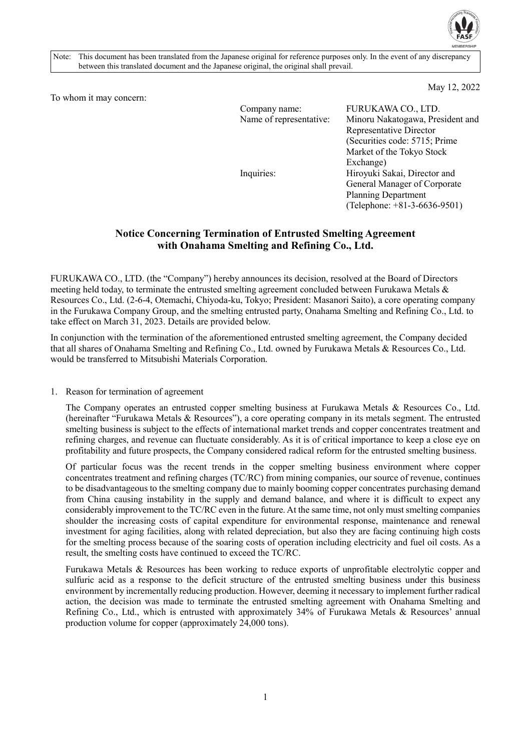

Note: This document has been translated from the Japanese original for reference purposes only. In the event of any discrepancy between this translated document and the Japanese original, the original shall prevail.

May 12, 2022

To whom it may concern:

| Company name:<br>Name of representative: | FURUKAWA CO., LTD.<br>Minoru Nakatogawa, President and<br>Representative Director                       |
|------------------------------------------|---------------------------------------------------------------------------------------------------------|
| Inquiries:                               | (Securities code: 5715; Prime<br>Market of the Tokyo Stock<br>Exchange)<br>Hiroyuki Sakai, Director and |
|                                          | General Manager of Corporate<br><b>Planning Department</b><br>(Telephone: $+81-3-6636-9501$ )           |

# **Notice Concerning Termination of Entrusted Smelting Agreement with Onahama Smelting and Refining Co., Ltd.**

FURUKAWA CO., LTD. (the "Company") hereby announces its decision, resolved at the Board of Directors meeting held today, to terminate the entrusted smelting agreement concluded between Furukawa Metals & Resources Co., Ltd. (2-6-4, Otemachi, Chiyoda-ku, Tokyo; President: Masanori Saito), a core operating company in the Furukawa Company Group, and the smelting entrusted party, Onahama Smelting and Refining Co., Ltd. to take effect on March 31, 2023. Details are provided below.

In conjunction with the termination of the aforementioned entrusted smelting agreement, the Company decided that all shares of Onahama Smelting and Refining Co., Ltd. owned by Furukawa Metals & Resources Co., Ltd. would be transferred to Mitsubishi Materials Corporation.

## 1. Reason for termination of agreement

The Company operates an entrusted copper smelting business at Furukawa Metals & Resources Co., Ltd. (hereinafter "Furukawa Metals & Resources"), a core operating company in its metals segment. The entrusted smelting business is subject to the effects of international market trends and copper concentrates treatment and refining charges, and revenue can fluctuate considerably. As it is of critical importance to keep a close eye on profitability and future prospects, the Company considered radical reform for the entrusted smelting business.

Of particular focus was the recent trends in the copper smelting business environment where copper concentrates treatment and refining charges (TC/RC) from mining companies, our source of revenue, continues to be disadvantageous to the smelting company due to mainly booming copper concentrates purchasing demand from China causing instability in the supply and demand balance, and where it is difficult to expect any considerably improvement to the TC/RC even in the future. At the same time, not only must smelting companies shoulder the increasing costs of capital expenditure for environmental response, maintenance and renewal investment for aging facilities, along with related depreciation, but also they are facing continuing high costs for the smelting process because of the soaring costs of operation including electricity and fuel oil costs. As a result, the smelting costs have continued to exceed the TC/RC.

Furukawa Metals & Resources has been working to reduce exports of unprofitable electrolytic copper and sulfuric acid as a response to the deficit structure of the entrusted smelting business under this business environment by incrementally reducing production. However, deeming it necessary to implement further radical action, the decision was made to terminate the entrusted smelting agreement with Onahama Smelting and Refining Co., Ltd., which is entrusted with approximately 34% of Furukawa Metals & Resources' annual production volume for copper (approximately 24,000 tons).